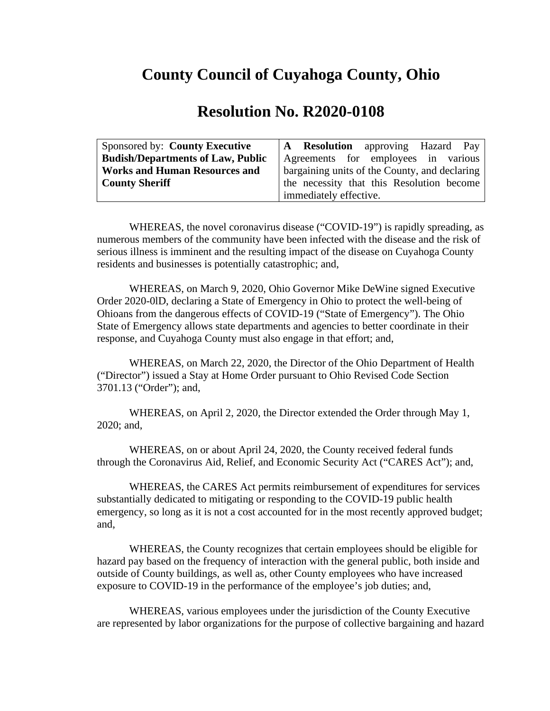## **County Council of Cuyahoga County, Ohio**

## **Resolution No. R2020-0108**

| Sponsored by: County Executive           | A Resolution approving Hazard Pay             |
|------------------------------------------|-----------------------------------------------|
| <b>Budish/Departments of Law, Public</b> | Agreements for employees in various           |
| <b>Works and Human Resources and</b>     | bargaining units of the County, and declaring |
| <b>County Sheriff</b>                    | the necessity that this Resolution become     |
|                                          | immediately effective.                        |

WHEREAS, the novel coronavirus disease ("COVID-19") is rapidly spreading, as numerous members of the community have been infected with the disease and the risk of serious illness is imminent and the resulting impact of the disease on Cuyahoga County residents and businesses is potentially catastrophic; and,

WHEREAS, on March 9, 2020, Ohio Governor Mike DeWine signed Executive Order 2020-0lD, declaring a State of Emergency in Ohio to protect the well-being of Ohioans from the dangerous effects of COVID-19 ("State of Emergency"). The Ohio State of Emergency allows state departments and agencies to better coordinate in their response, and Cuyahoga County must also engage in that effort; and,

WHEREAS, on March 22, 2020, the Director of the Ohio Department of Health ("Director") issued a Stay at Home Order pursuant to Ohio Revised Code Section 3701.13 ("Order"); and,

WHEREAS, on April 2, 2020, the Director extended the Order through May 1, 2020; and,

WHEREAS, on or about April 24, 2020, the County received federal funds through the Coronavirus Aid, Relief, and Economic Security Act ("CARES Act"); and,

WHEREAS, the CARES Act permits reimbursement of expenditures for services substantially dedicated to mitigating or responding to the COVID-19 public health emergency, so long as it is not a cost accounted for in the most recently approved budget; and,

WHEREAS, the County recognizes that certain employees should be eligible for hazard pay based on the frequency of interaction with the general public, both inside and outside of County buildings, as well as, other County employees who have increased exposure to COVID-19 in the performance of the employee's job duties; and,

WHEREAS, various employees under the jurisdiction of the County Executive are represented by labor organizations for the purpose of collective bargaining and hazard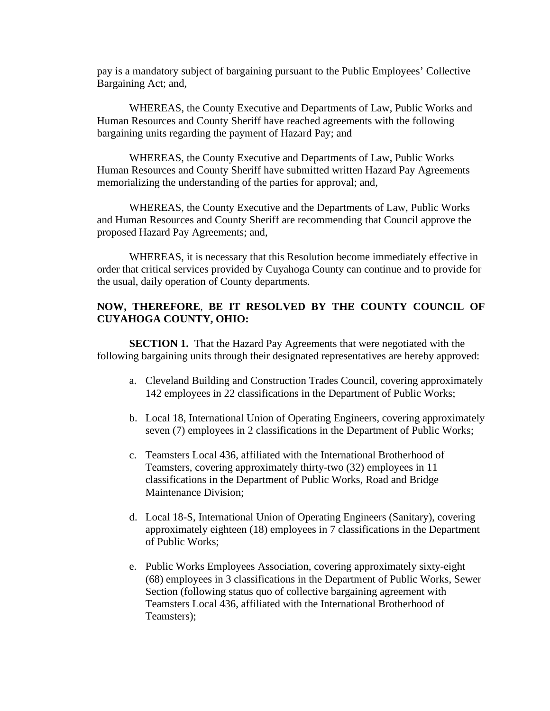pay is a mandatory subject of bargaining pursuant to the Public Employees' Collective Bargaining Act; and,

WHEREAS, the County Executive and Departments of Law, Public Works and Human Resources and County Sheriff have reached agreements with the following bargaining units regarding the payment of Hazard Pay; and

WHEREAS, the County Executive and Departments of Law, Public Works Human Resources and County Sheriff have submitted written Hazard Pay Agreements memorializing the understanding of the parties for approval; and,

WHEREAS, the County Executive and the Departments of Law, Public Works and Human Resources and County Sheriff are recommending that Council approve the proposed Hazard Pay Agreements; and,

WHEREAS, it is necessary that this Resolution become immediately effective in order that critical services provided by Cuyahoga County can continue and to provide for the usual, daily operation of County departments.

## **NOW, THEREFORE**, **BE IT RESOLVED BY THE COUNTY COUNCIL OF CUYAHOGA COUNTY, OHIO:**

**SECTION 1.** That the Hazard Pay Agreements that were negotiated with the following bargaining units through their designated representatives are hereby approved:

- a. Cleveland Building and Construction Trades Council, covering approximately 142 employees in 22 classifications in the Department of Public Works;
- b. Local 18, International Union of Operating Engineers, covering approximately seven (7) employees in 2 classifications in the Department of Public Works;
- c. Teamsters Local 436, affiliated with the International Brotherhood of Teamsters, covering approximately thirty-two (32) employees in 11 classifications in the Department of Public Works, Road and Bridge Maintenance Division;
- d. Local 18-S, International Union of Operating Engineers (Sanitary), covering approximately eighteen (18) employees in 7 classifications in the Department of Public Works;
- e. Public Works Employees Association, covering approximately sixty-eight (68) employees in 3 classifications in the Department of Public Works, Sewer Section (following status quo of collective bargaining agreement with Teamsters Local 436, affiliated with the International Brotherhood of Teamsters);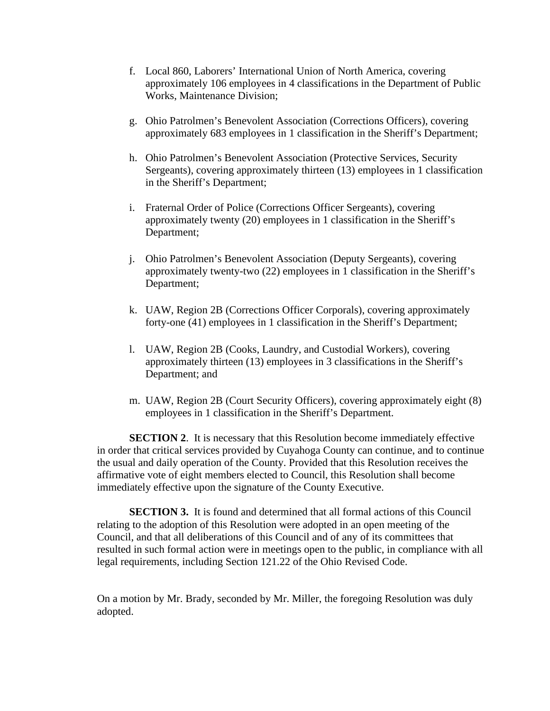- f. Local 860, Laborers' International Union of North America, covering approximately 106 employees in 4 classifications in the Department of Public Works, Maintenance Division;
- g. Ohio Patrolmen's Benevolent Association (Corrections Officers), covering approximately 683 employees in 1 classification in the Sheriff's Department;
- h. Ohio Patrolmen's Benevolent Association (Protective Services, Security Sergeants), covering approximately thirteen (13) employees in 1 classification in the Sheriff's Department;
- i. Fraternal Order of Police (Corrections Officer Sergeants), covering approximately twenty (20) employees in 1 classification in the Sheriff's Department;
- j. Ohio Patrolmen's Benevolent Association (Deputy Sergeants), covering approximately twenty-two (22) employees in 1 classification in the Sheriff's Department;
- k. UAW, Region 2B (Corrections Officer Corporals), covering approximately forty-one (41) employees in 1 classification in the Sheriff's Department;
- l. UAW, Region 2B (Cooks, Laundry, and Custodial Workers), covering approximately thirteen (13) employees in 3 classifications in the Sheriff's Department; and
- m. UAW, Region 2B (Court Security Officers), covering approximately eight (8) employees in 1 classification in the Sheriff's Department.

**SECTION 2**. It is necessary that this Resolution become immediately effective in order that critical services provided by Cuyahoga County can continue, and to continue the usual and daily operation of the County. Provided that this Resolution receives the affirmative vote of eight members elected to Council, this Resolution shall become immediately effective upon the signature of the County Executive.

**SECTION 3.** It is found and determined that all formal actions of this Council relating to the adoption of this Resolution were adopted in an open meeting of the Council, and that all deliberations of this Council and of any of its committees that resulted in such formal action were in meetings open to the public, in compliance with all legal requirements, including Section 121.22 of the Ohio Revised Code.

On a motion by Mr. Brady, seconded by Mr. Miller, the foregoing Resolution was duly adopted.